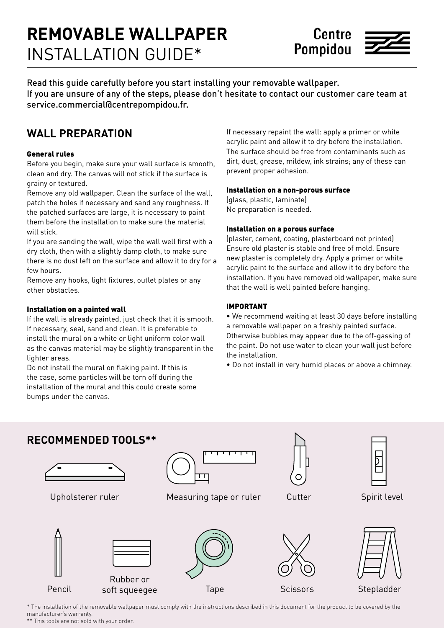# **REMOVABLE WALLPAPER** INSTALLATION GUIDE\*



Read this guide carefully before you start installing your removable wallpaper. If you are unsure of any of the steps, please don't hesitate to contact our customer care team at service.commercial@centrepompidou.fr.

# **WALL PREPARATION**

#### General rules

Before you begin, make sure your wall surface is smooth, clean and dry. The canvas will not stick if the surface is grainy or textured.

Remove any old wallpaper. Clean the surface of the wall, patch the holes if necessary and sand any roughness. If the patched surfaces are large, it is necessary to paint them before the installation to make sure the material will stick.

If you are sanding the wall, wipe the wall well first with a dry cloth, then with a slightly damp cloth, to make sure there is no dust left on the surface and allow it to dry for a few hours.

Remove any hooks, light fixtures, outlet plates or any other obstacles.

#### Installation on a painted wall

If the wall is already painted, just check that it is smooth. If necessary, seal, sand and clean. It is preferable to install the mural on a white or light uniform color wall as the canvas material may be slightly transparent in the lighter areas.

Do not install the mural on flaking paint. If this is the case, some particles will be torn off during the installation of the mural and this could create some bumps under the canvas.

If necessary repaint the wall: apply a primer or white acrylic paint and allow it to dry before the installation. The surface should be free from contaminants such as dirt, dust, grease, mildew, ink strains; any of these can prevent proper adhesion.

#### Installation on a non-porous surface

(glass, plastic, laminate) No preparation is needed.

#### Installation on a porous surface

(plaster, cement, coating, plasterboard not printed) Ensure old plaster is stable and free of mold. Ensure new plaster is completely dry. Apply a primer or white acrylic paint to the surface and allow it to dry before the installation. If you have removed old wallpaper, make sure that the wall is well painted before hanging.

#### IMPORTANT

• We recommend waiting at least 30 days before installing a removable wallpaper on a freshly painted surface. Otherwise bubbles may appear due to the off-gassing of the paint. Do not use water to clean your wall just before the installation.

• Do not install in very humid places or above a chimney.



\* The installation of the removable wallpaper must comply with the instructions described in this document for the product to be covered by the manufacturer's warranty.

\*\* This tools are not sold with your order.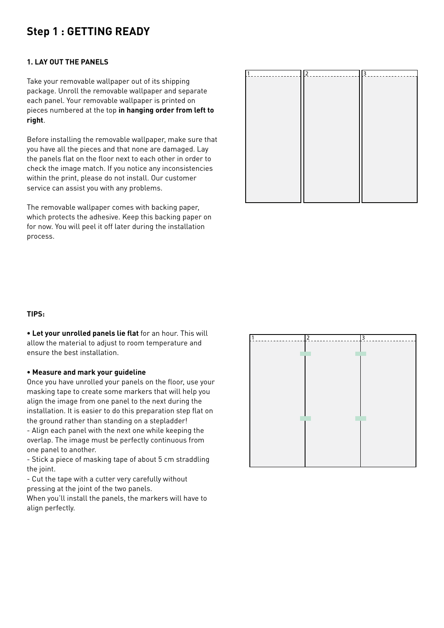### **Step 1 : GETTING READY**

#### **1. LAY OUT THE PANELS**

Take your removable wallpaper out of its shipping package. Unroll the removable wallpaper and separate each panel. Your removable wallpaper is printed on pieces numbered at the top **in hanging order from left to right**.

Before installing the removable wallpaper, make sure that you have all the pieces and that none are damaged. Lay the panels flat on the floor next to each other in order to check the image match. If you notice any inconsistencies within the print, please do not install. Our customer service can assist you with any problems.

The removable wallpaper comes with backing paper, which protects the adhesive. Keep this backing paper on for now. You will peel it off later during the installation process.



#### **TIPS:**

**• Let your unrolled panels lie flat** for an hour. This will allow the material to adjust to room temperature and ensure the best installation.

#### **• Measure and mark your guideline**

Once you have unrolled your panels on the floor, use your masking tape to create some markers that will help you align the image from one panel to the next during the installation. It is easier to do this preparation step flat on the ground rather than standing on a stepladder! - Align each panel with the next one while keeping the overlap. The image must be perfectly continuous from one panel to another.

- Stick a piece of masking tape of about 5 cm straddling the joint.

- Cut the tape with a cutter very carefully without pressing at the joint of the two panels.

When you'll install the panels, the markers will have to align perfectly.

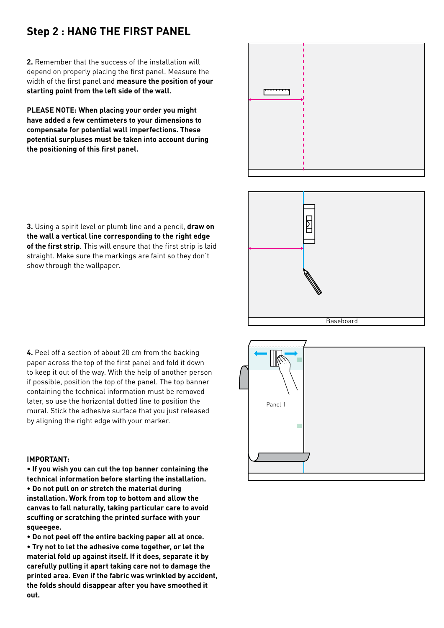### **Step 2 : HANG THE FIRST PANEL**

**2.** Remember that the success of the installation will depend on properly placing the first panel. Measure the width of the first panel and **measure the position of your starting point from the left side of the wall.**

**PLEASE NOTE: When placing your order you might have added a few centimeters to your dimensions to compensate for potential wall imperfections. These potential surpluses must be taken into account during the positioning of this first panel.**



**3.** Using a spirit level or plumb line and a pencil, **draw on the wall a vertical line corresponding to the right edge of the first strip**. This will ensure that the first strip is laid straight. Make sure the markings are faint so they don't show through the wallpaper.



**4.** Peel off a section of about 20 cm from the backing paper across the top of the first panel and fold it down to keep it out of the way. With the help of another person if possible, position the top of the panel. The top banner containing the technical information must be removed later, so use the horizontal dotted line to position the mural. Stick the adhesive surface that you just released by aligning the right edge with your marker.

#### **IMPORTANT:**

**• If you wish you can cut the top banner containing the technical information before starting the installation. • Do not pull on or stretch the material during installation. Work from top to bottom and allow the canvas to fall naturally, taking particular care to avoid scuffing or scratching the printed surface with your squeegee.**

**• Do not peel off the entire backing paper all at once. • Try not to let the adhesive come together, or let the material fold up against itself. If it does, separate it by carefully pulling it apart taking care not to damage the printed area. Even if the fabric was wrinkled by accident, the folds should disappear after you have smoothed it out.**

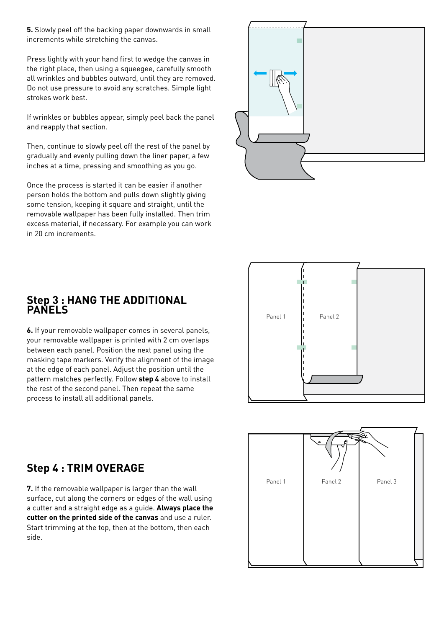**5.** Slowly peel off the backing paper downwards in small increments while stretching the canvas.

Press lightly with your hand first to wedge the canvas in the right place, then using a squeegee, carefully smooth all wrinkles and bubbles outward, until they are removed. Do not use pressure to avoid any scratches. Simple light strokes work best.

If wrinkles or bubbles appear, simply peel back the panel and reapply that section.

Then, continue to slowly peel off the rest of the panel by gradually and evenly pulling down the liner paper, a few inches at a time, pressing and smoothing as you go.

Once the process is started it can be easier if another person holds the bottom and pulls down slightly giving some tension, keeping it square and straight, until the removable wallpaper has been fully installed. Then trim excess material, if necessary. For example you can work in 20 cm increments.





### **Step 3 : HANG THE ADDITIONAL PANELS**

**6.** If your removable wallpaper comes in several panels, your removable wallpaper is printed with 2 cm overlaps between each panel. Position the next panel using the masking tape markers. Verify the alignment of the image at the edge of each panel. Adjust the position until the pattern matches perfectly. Follow **step 4** above to install the rest of the second panel. Then repeat the same process to install all additional panels.

# **Step 4 : TRIM OVERAGE**

**7.** If the removable wallpaper is larger than the wall surface, cut along the corners or edges of the wall using a cutter and a straight edge as a guide. **Always place the cutter on the printed side of the canvas** and use a ruler. Start trimming at the top, then at the bottom, then each side.

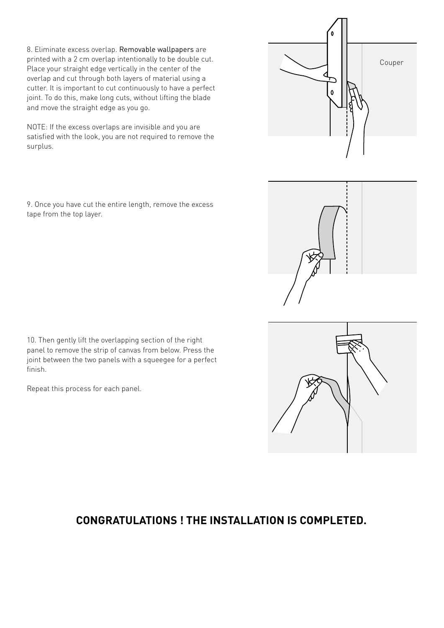8. Eliminate excess overlap. Removable wallpapers are printed with a 2 cm overlap intentionally to be double cut. Place your straight edge vertically in the center of the overlap and cut through both layers of material using a cutter. It is important to cut continuously to have a perfect joint. To do this, make long cuts, without lifting the blade and move the straight edge as you go.

NOTE: If the excess overlaps are invisible and you are satisfied with the look, you are not required to remove the surplus.

9. Once you have cut the entire length, remove the excess tape from the top layer.

10. Then gently lift the overlapping section of the right panel to remove the strip of canvas from below. Press the joint between the two panels with a squeegee for a perfect finish.

Repeat this process for each panel.

## **CONGRATULATIONS ! THE INSTALLATION IS COMPLETED.**